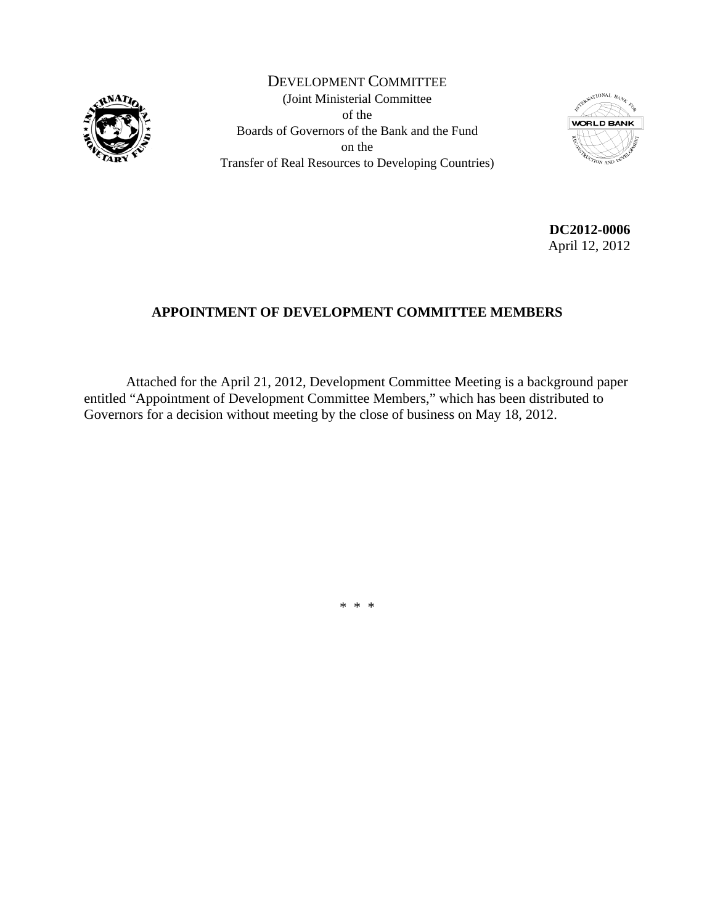

DEVELOPMENT COMMITTEE (Joint Ministerial Committee of the Boards of Governors of the Bank and the Fund on the Transfer of Real Resources to Developing Countries)



**DC2012-0006**  April 12, 2012

# **APPOINTMENT OF DEVELOPMENT COMMITTEE MEMBERS**

 Attached for the April 21, 2012, Development Committee Meeting is a background paper entitled "Appointment of Development Committee Members," which has been distributed to Governors for a decision without meeting by the close of business on May 18, 2012.

\* \* \*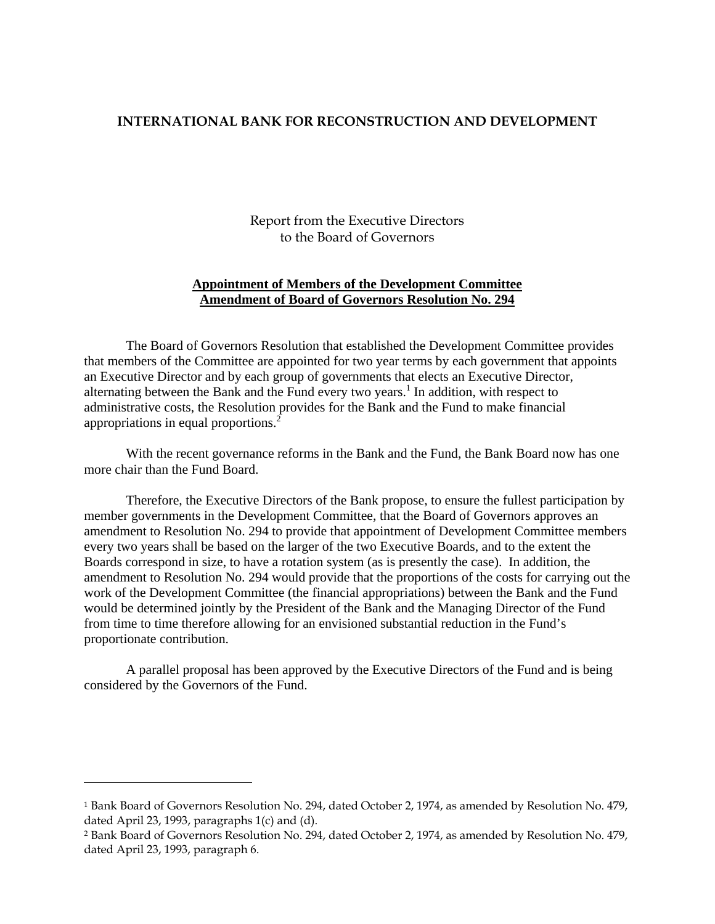## **INTERNATIONAL BANK FOR RECONSTRUCTION AND DEVELOPMENT**

Report from the Executive Directors to the Board of Governors

## **Appointment of Members of the Development Committee Amendment of Board of Governors Resolution No. 294**

The Board of Governors Resolution that established the Development Committee provides that members of the Committee are appointed for two year terms by each government that appoints an Executive Director and by each group of governments that elects an Executive Director, alternating between the Bank and the Fund every two years.<sup>1</sup> In addition, with respect to administrative costs, the Resolution provides for the Bank and the Fund to make financial appropriations in equal proportions.2

With the recent governance reforms in the Bank and the Fund, the Bank Board now has one more chair than the Fund Board.

Therefore, the Executive Directors of the Bank propose, to ensure the fullest participation by member governments in the Development Committee, that the Board of Governors approves an amendment to Resolution No. 294 to provide that appointment of Development Committee members every two years shall be based on the larger of the two Executive Boards, and to the extent the Boards correspond in size, to have a rotation system (as is presently the case). In addition, the amendment to Resolution No. 294 would provide that the proportions of the costs for carrying out the work of the Development Committee (the financial appropriations) between the Bank and the Fund would be determined jointly by the President of the Bank and the Managing Director of the Fund from time to time therefore allowing for an envisioned substantial reduction in the Fund's proportionate contribution.

A parallel proposal has been approved by the Executive Directors of the Fund and is being considered by the Governors of the Fund.

 $\overline{a}$ 

<sup>1</sup> Bank Board of Governors Resolution No. 294, dated October 2, 1974, as amended by Resolution No. 479, dated April 23, 1993, paragraphs 1(c) and (d).

<sup>2</sup> Bank Board of Governors Resolution No. 294, dated October 2, 1974, as amended by Resolution No. 479, dated April 23, 1993, paragraph 6.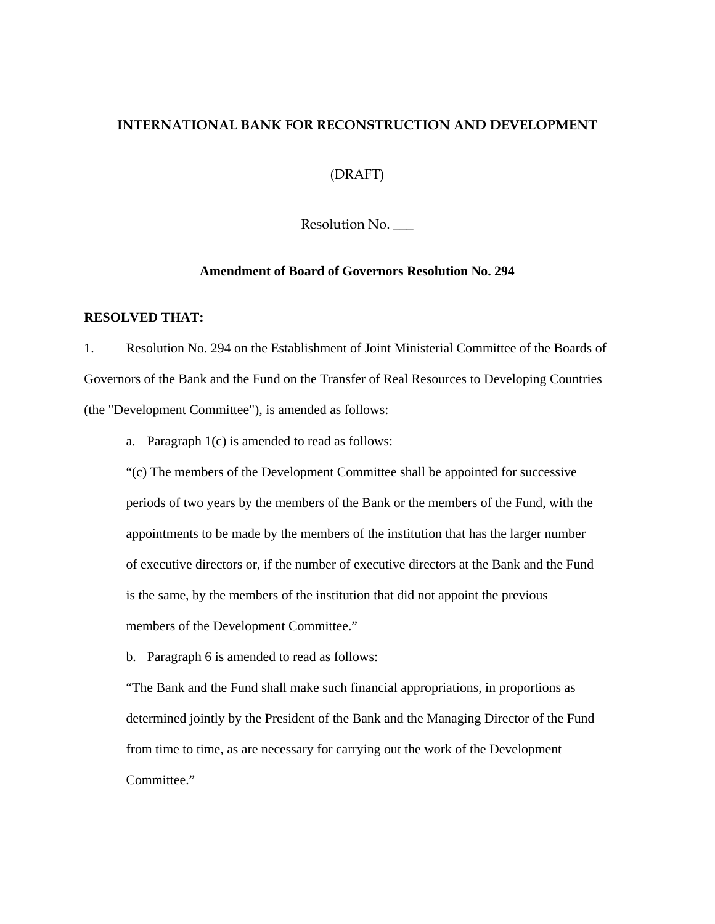# **INTERNATIONAL BANK FOR RECONSTRUCTION AND DEVELOPMENT**

(DRAFT)

Resolution No.

### **Amendment of Board of Governors Resolution No. 294**

### **RESOLVED THAT:**

1. Resolution No. 294 on the Establishment of Joint Ministerial Committee of the Boards of Governors of the Bank and the Fund on the Transfer of Real Resources to Developing Countries (the "Development Committee"), is amended as follows:

a. Paragraph 1(c) is amended to read as follows:

"(c) The members of the Development Committee shall be appointed for successive periods of two years by the members of the Bank or the members of the Fund, with the appointments to be made by the members of the institution that has the larger number of executive directors or, if the number of executive directors at the Bank and the Fund is the same, by the members of the institution that did not appoint the previous members of the Development Committee."

b. Paragraph 6 is amended to read as follows:

"The Bank and the Fund shall make such financial appropriations, in proportions as determined jointly by the President of the Bank and the Managing Director of the Fund from time to time, as are necessary for carrying out the work of the Development Committee."